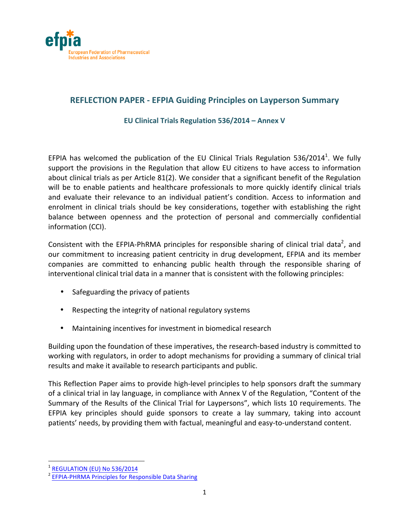

# **REFLECTION PAPER - EFPIA Guiding Principles on Layperson Summary**

**EU Clinical Trials Regulation 536/2014 – Annex V**

EFPIA has welcomed the publication of the EU Clinical Trials Regulation 536/2014<sup>1</sup>. We fully support the provisions in the Regulation that allow EU citizens to have access to information about clinical trials as per Article  $81(2)$ . We consider that a significant benefit of the Regulation will be to enable patients and healthcare professionals to more quickly identify clinical trials and evaluate their relevance to an individual patient's condition. Access to information and enrolment in clinical trials should be key considerations, together with establishing the right balance between openness and the protection of personal and commercially confidential information (CCI).

Consistent with the EFPIA-PhRMA principles for responsible sharing of clinical trial data<sup>2</sup>, and our commitment to increasing patient centricity in drug development, EFPIA and its member companies are committed to enhancing public health through the responsible sharing of interventional clinical trial data in a manner that is consistent with the following principles:

- Safeguarding the privacy of patients
- Respecting the integrity of national regulatory systems
- Maintaining incentives for investment in biomedical research

Building upon the foundation of these imperatives, the research-based industry is committed to working with regulators, in order to adopt mechanisms for providing a summary of clinical trial results and make it available to research participants and public.

This Reflection Paper aims to provide high-level principles to help sponsors draft the summary of a clinical trial in lay language, in compliance with Annex V of the Regulation, "Content of the Summary of the Results of the Clinical Trial for Laypersons", which lists 10 requirements. The EFPIA key principles should guide sponsors to create a lay summary, taking into account patients' needs, by providing them with factual, meaningful and easy-to-understand content.

<sup>&</sup>lt;u> 1989 - Johann Stein, fransk politik (d. 1989)</u>

<sup>&</sup>lt;sup>1</sup> REGULATION (EU) No 536/2014<br><sup>2</sup> EFPIA-PHRMA Principles for Responsible Data Sharing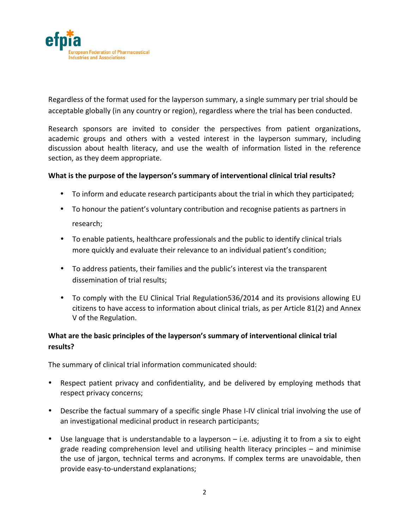

Regardless of the format used for the layperson summary, a single summary per trial should be acceptable globally (in any country or region), regardless where the trial has been conducted.

Research sponsors are invited to consider the perspectives from patient organizations, academic groups and others with a vested interest in the layperson summary, including discussion about health literacy, and use the wealth of information listed in the reference section, as they deem appropriate.

## What is the purpose of the layperson's summary of interventional clinical trial results?

- To inform and educate research participants about the trial in which they participated;
- To honour the patient's voluntary contribution and recognise patients as partners in research;
- To enable patients, healthcare professionals and the public to identify clinical trials more quickly and evaluate their relevance to an individual patient's condition;
- To address patients, their families and the public's interest via the transparent dissemination of trial results:
- To comply with the EU Clinical Trial Regulation536/2014 and its provisions allowing EU citizens to have access to information about clinical trials, as per Article 81(2) and Annex V of the Regulation.

## What are the basic principles of the layperson's summary of interventional clinical trial **results?**

The summary of clinical trial information communicated should:

- Respect patient privacy and confidentiality, and be delivered by employing methods that respect privacy concerns;
- Describe the factual summary of a specific single Phase I-IV clinical trial involving the use of an investigational medicinal product in research participants;
- Use language that is understandable to a layperson  $-$  i.e. adjusting it to from a six to eight grade reading comprehension level and utilising health literacy principles  $-$  and minimise the use of jargon, technical terms and acronyms. If complex terms are unavoidable, then provide easy-to-understand explanations;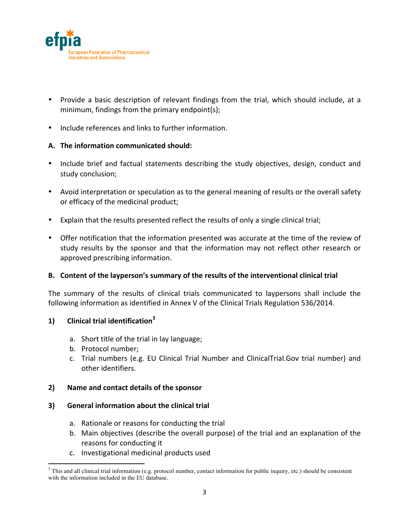

- Provide a basic description of relevant findings from the trial, which should include, at a minimum, findings from the primary endpoint(s);
- Include references and links to further information.

#### A. The information communicated should:

- Include brief and factual statements describing the study objectives, design, conduct and study conclusion;
- Avoid interpretation or speculation as to the general meaning of results or the overall safety or efficacy of the medicinal product;
- Explain that the results presented reflect the results of only a single clinical trial;
- Offer notification that the information presented was accurate at the time of the review of study results by the sponsor and that the information may not reflect other research or approved prescribing information.

#### B. Content of the layperson's summary of the results of the interventional clinical trial

The summary of the results of clinical trials communicated to laypersons shall include the following information as identified in Annex V of the Clinical Trials Regulation 536/2014.

## **1) Clinical trial identification<sup>3</sup>**

- a. Short title of the trial in lay language;
- b. Protocol number;

<u> 1989 - Johann Stein, fransk politik (d. 1989)</u>

c. Trial numbers (e.g. EU Clinical Trial Number and ClinicalTrial.Gov trial number) and other identifiers.

#### **2) Name and contact details of the sponsor**

#### **3)** General information about the clinical trial

- a. Rationale or reasons for conducting the trial
- b. Main objectives (describe the overall purpose) of the trial and an explanation of the reasons for conducting it
- c. Investigational medicinal products used

 $3$  This and all clinical trial information (e.g. protocol number, contact information for public inquiry, etc.) should be consistent with the information included in the EU database.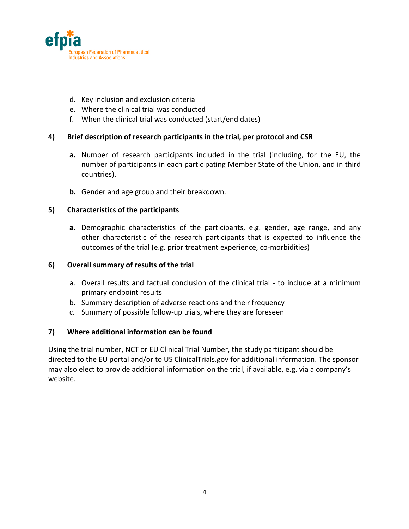

- d. Key inclusion and exclusion criteria
- e. Where the clinical trial was conducted
- f. When the clinical trial was conducted (start/end dates)

#### 4) Brief description of research participants in the trial, per protocol and CSR

- **a.** Number of research participants included in the trial (including, for the EU, the number of participants in each participating Member State of the Union, and in third countries).
- **b.** Gender and age group and their breakdown.

#### **5) Characteristics of the participants**

a. Demographic characteristics of the participants, e.g. gender, age range, and any other characteristic of the research participants that is expected to influence the outcomes of the trial (e.g. prior treatment experience, co-morbidities)

#### **6) Overall summary of results of the trial**

- a. Overall results and factual conclusion of the clinical trial to include at a minimum primary endpoint results
- b. Summary description of adverse reactions and their frequency
- c. Summary of possible follow-up trials, where they are foreseen

#### **7) Where additional information can be found**

Using the trial number, NCT or EU Clinical Trial Number, the study participant should be directed to the EU portal and/or to US ClinicalTrials.gov for additional information. The sponsor may also elect to provide additional information on the trial, if available, e.g. via a company's website.